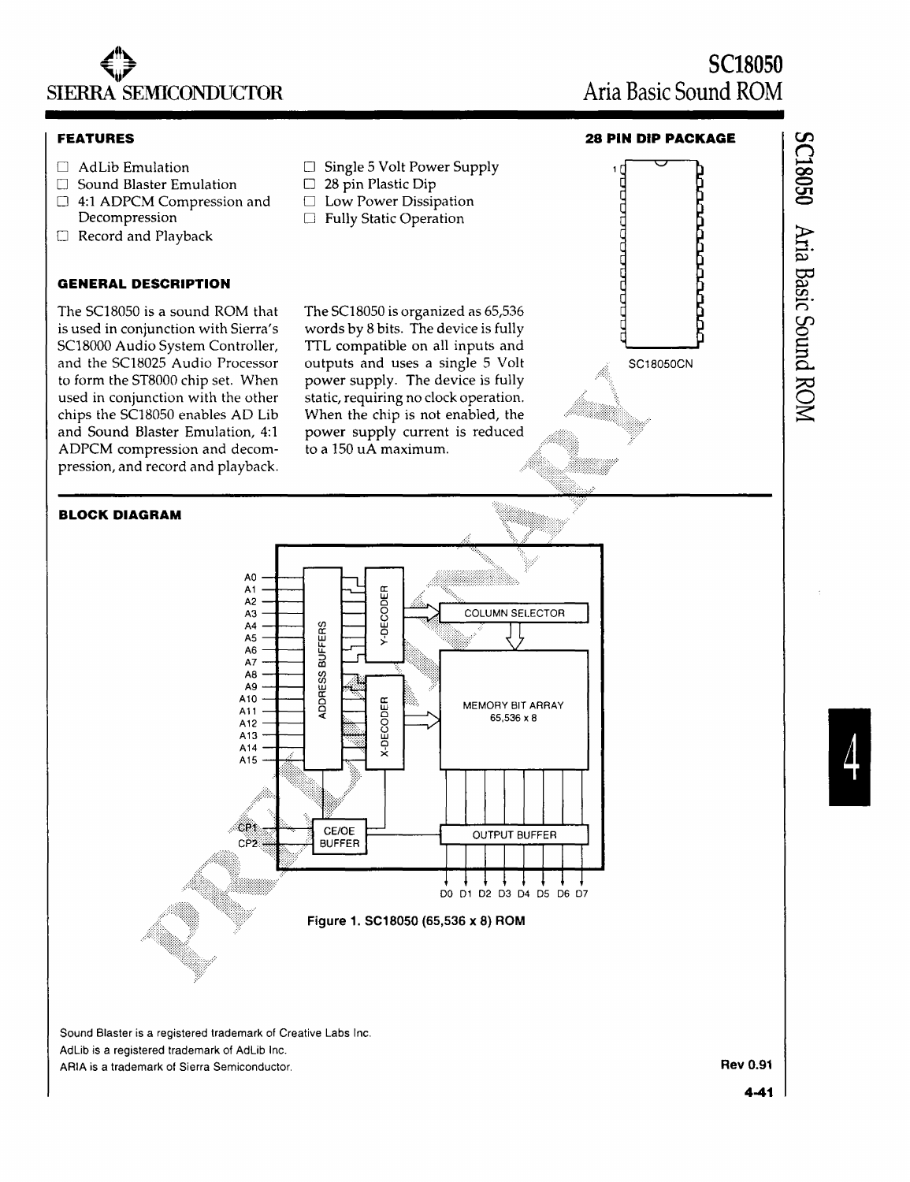

### **FEATURES**

- $\Box$  AdLib Emulation
- $\square$  Sound Blaster Emulation
- $\Box$  4:1 ADPCM Compression and Decompression
- o Record and Playback

## **GENERAL DESCRIPTION**

The SC18050 is a sound ROM that is used in conjunction with Sierra's SC18000 Audio System Controller, and the SC18025 Audio Processor to form the ST8000 chip set. When used in conjunction with the other chips the SC18050 enables AD Lib and Sound Blaster Emulation, 4:1 ADPCM compression and decompression, and record and playback.

**BLOCK DIAGRAM** 

- $\Box$  Single 5 Volt Power Supply
- $\square$  28 pin Plastic Dip
- □ Low Power Dissipation
- $\Box$  Fully Static Operation

The SC18050 is organized as 65,536 words by 8 bits. The device is fully TTL compatible on all inputs and outputs and uses a single 5 Volt power supply. The device is fully static, requiring no clock operation. When the chip is not enabled, the power supply current is reduced to a 150 uA maximum.

**SC18050 Aria Basic Sound ROM** 

> ŕ Ċ Ē





Sound Blaster is a registered trademark of Creative Labs Inc. AdLib is a registered trademark of AdLib Inc. ARIA is a trademark of Sierra Semiconductor. **Rev 0.91**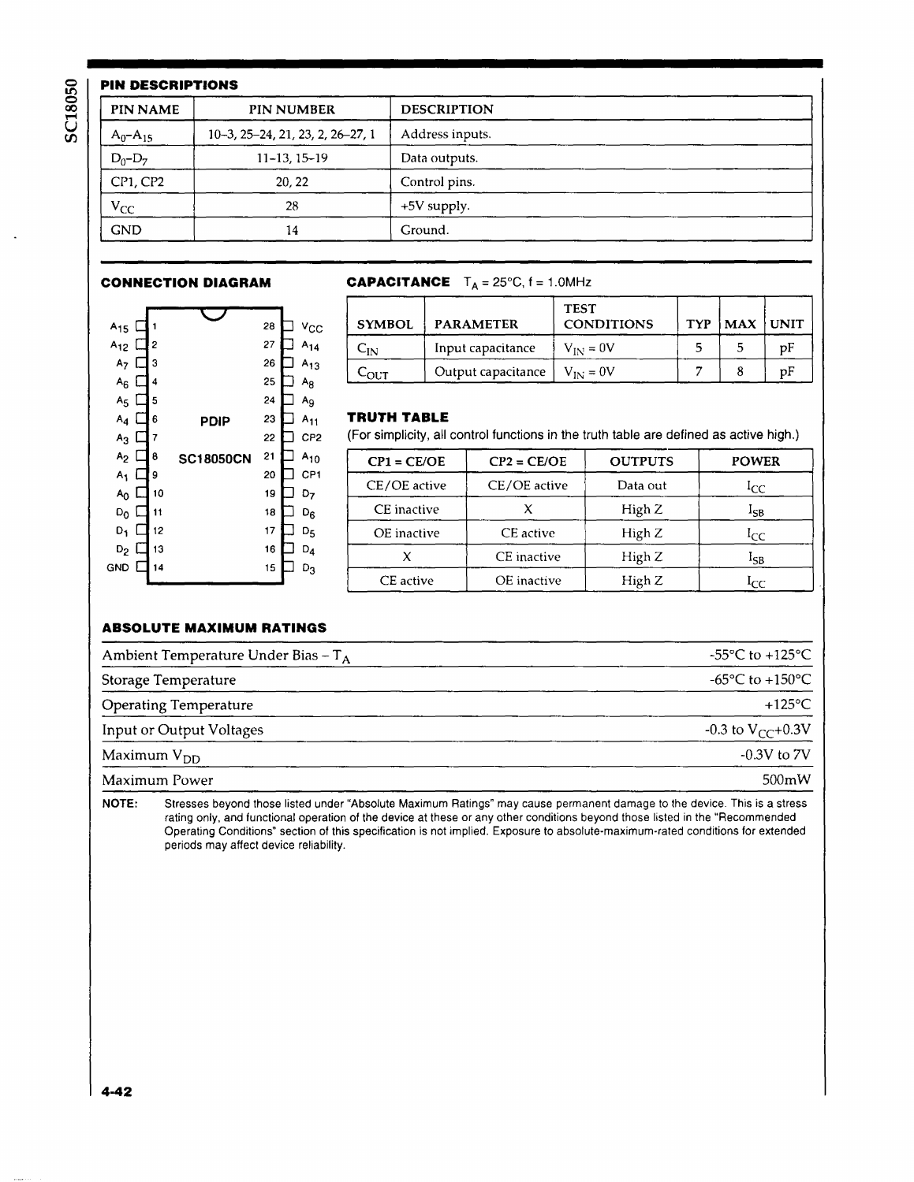|                 | <b>PIN DESCRIPTIONS</b>          |                    |  |  |  |
|-----------------|----------------------------------|--------------------|--|--|--|
| <b>PIN NAME</b> | <b>PIN NUMBER</b>                | <b>DESCRIPTION</b> |  |  |  |
| $A_0 - A_{15}$  | 10-3, 25-24, 21, 23, 2, 26-27, 1 | Address inputs.    |  |  |  |
| $D_0 - D_7$     | $11 - 13.15 - 19$                | Data outputs.      |  |  |  |
| CP1, CP2        | 20, 22                           | Control pins.      |  |  |  |
| $V_{CC}$        | 28                               | $+5V$ supply.      |  |  |  |
| <b>GND</b>      | 14                               | Ground.            |  |  |  |

| $A_{15}$       |    | 1  |                  | 28 | ⊻сс             |
|----------------|----|----|------------------|----|-----------------|
| $A_{12}$       |    | 2  |                  | 27 | $A_{14}$        |
| A <sub>7</sub> | ı  | 3  |                  | 26 | $A_{13}$        |
| $A_6$          | L  | 4  |                  | 25 | Ag              |
| A <sub>5</sub> | 1  | 5  |                  | 24 | Ag              |
| $A_4$          | ı. | 6  | PDIP             | 23 | $A_{11}$        |
| $A_3$          | L  | 7  |                  | 22 | CP <sub>2</sub> |
| A <sub>2</sub> |    | 8  | <b>SC18050CN</b> | 21 | $A_{10}$        |
| A1             |    | 9  |                  | 20 | CP1             |
| A <sub>0</sub> |    | 10 |                  | 19 | D7              |
| D <sub>0</sub> |    | 11 |                  | 18 | $D_6$           |
| D,             |    | 12 |                  | 17 | D <sub>5</sub>  |
| $D_2$          |    | 13 |                  | 16 | $D_4$           |
| GND            |    | 14 |                  | 15 | $D_3$           |
|                |    |    |                  |    |                 |

# **CONNECTION DIAGRAM CAPACITANCE**  $T_A = 25^{\circ}C$ ,  $f = 1.0$ MHz

| A <sub>15</sub> ロ         | $v_{\rm CC}$<br>28         | <b>SYMBOL</b>    | <b>PARAMETER</b>   | <b>TEST</b><br><b>CONDITIONS</b> | <b>TYP</b> | $MAX$ UNIT |    |
|---------------------------|----------------------------|------------------|--------------------|----------------------------------|------------|------------|----|
| $A_{12}$ $\Box$ 2         | 27<br>$A_{14}$             | ∪N               | Input capacitance  | $V_{IN} = 0V$                    |            |            | pF |
| $A_7 \Box$ 3<br>$Ac$ i 14 | 26<br>$A_{13}$<br>25<br>Ao | C <sub>OUT</sub> | Output capacitance | $V_{IN} = 0V$                    |            |            | pΕ |

## **TRUTH TABLE**

(For simplicity, all control functions in the truth table are defined as active high.)

| $A_2 \Box 8$           | 21<br><b>SC18050CN</b> | $A_{10}$                          | $CP1 = CE/OE$ | $CP2 = CE/OE$ | <b>OUTPUTS</b> | <b>POWER</b>    |
|------------------------|------------------------|-----------------------------------|---------------|---------------|----------------|-----------------|
| А1 囗9<br>$A_0 \Box$ 10 | 20<br>19               | CP <sub>1</sub><br>D <sub>7</sub> | CE/OE active  | CE/OE active  | Data out       | <sub>I</sub> CC |
| Do ロ11                 | 18                     | D <sub>R</sub>                    | CE inactive   |               | High Z         | -SB             |
| $D_1$ $\Box$ 12        | 17                     | D <sub>5</sub>                    | OE inactive   | CE active     | High Z         | <sub>1</sub> CC |
| $D_2$ $\square$ 13     | 16                     | $D_{4}$                           |               | CE inactive   | High Z         | 15B             |
| VD □ 14                | 15                     | $D_3$                             | CE active     | OE inactive   | High Z         | ICC.            |

# **ABSOLUTE MAXIMUM RATINGS**

| Ambient Temperature Under Bias - T <sub>A</sub> | -55 $\mathrm{^{\circ}C}$ to +125 $\mathrm{^{\circ}C}$ |
|-------------------------------------------------|-------------------------------------------------------|
| Storage Temperature                             | $-65^{\circ}$ C to $+150^{\circ}$ C                   |
| Operating Temperature                           | $+125^{\circ}$ C                                      |
| Input or Output Voltages                        | $-0.3$ to $V_{CC}+0.3V$                               |
| Maximum $V_{DD}$                                | $-0.3V$ to $7V$                                       |
| Maximum Power                                   | $500 \text{mW}$                                       |

NOTE: Stresses beyond those listed under "Absolute Maximum Ratings" may cause permanent damage to the device. This is a stress rating only, and functional operation of the device at these or any other conditions beyond those listed in the "Recommended Operating Conditions" section of this specification is not implied. Exposure to absolute-maximum-rated conditions for extended periods may affect device reliability